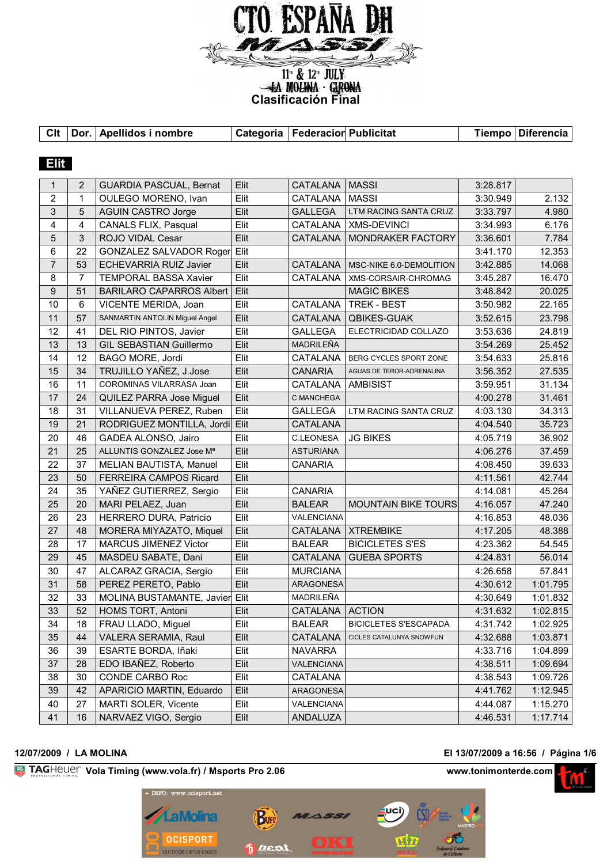

**Clasificación Final**<br> **Clasificación Final** 

**Clt Dor. Apellidos i nombre Categoria FederacionPublicitat Tiempo Diferencia**

| <b>Elit</b>    |                |                                 |      |                   |                              |          |          |
|----------------|----------------|---------------------------------|------|-------------------|------------------------------|----------|----------|
| 1              | 2              | <b>GUARDIA PASCUAL, Bernat</b>  | Elit | CATALANA          | <b>MASSI</b>                 | 3:28.817 |          |
| $\overline{2}$ | $\mathbf{1}$   | OULEGO MORENO, Ivan             | Elit | CATALANA          | <b>MASSI</b>                 | 3:30.949 | 2.132    |
| 3              | 5              | <b>AGUIN CASTRO Jorge</b>       | Elit | <b>GALLEGA</b>    | LTM RACING SANTA CRUZ        | 3:33.797 | 4.980    |
| 4              | 4              | CANALS FLIX, Pasqual            | Elit | CATALANA          | <b>XMS-DEVINCI</b>           | 3:34.993 | 6.176    |
| 5              | $\mathfrak{S}$ | ROJO VIDAL Cesar                | Elit | <b>CATALANA</b>   | MONDRAKER FACTORY            | 3:36.601 | 7.784    |
| 6              | 22             | GONZALEZ SALVADOR Roger         | Elit |                   |                              | 3:41.170 | 12.353   |
| $\overline{7}$ | 53             | ECHEVARRIA RUIZ Javier          | Elit | <b>CATALANA</b>   | MSC-NIKE 6.0-DEMOLITION      | 3:42.885 | 14.068   |
| 8              | $\overline{7}$ | <b>TEMPORAL BASSA Xavier</b>    | Elit | CATALANA          | XMS-CORSAIR-CHROMAG          | 3:45.287 | 16.470   |
| $9\,$          | 51             | <b>BARILARO CAPARROS Albert</b> | Elit |                   | <b>MAGIC BIKES</b>           | 3:48.842 | 20.025   |
| 10             | 6              | VICENTE MERIDA, Joan            | Elit | <b>CATALANA</b>   | TREK - BEST                  | 3:50.982 | 22.165   |
| 11             | 57             | SANMARTIN ANTOLIN Miguel Angel  | Elit | <b>CATALANA</b>   | QBIKES-GUAK                  | 3:52.615 | 23.798   |
| 12             | 41             | DEL RIO PINTOS, Javier          | Elit | <b>GALLEGA</b>    | ELECTRICIDAD COLLAZO         | 3:53.636 | 24.819   |
| 13             | 13             | <b>GIL SEBASTIAN Guillermo</b>  | Elit | MADRILEÑA         |                              | 3:54.269 | 25.452   |
| 14             | 12             | BAGO MORE, Jordi                | Elit | CATALANA          | BERG CYCLES SPORT ZONE       | 3:54.633 | 25.816   |
| 15             | 34             | TRUJILLO YAÑEZ, J.Jose          | Elit | <b>CANARIA</b>    | AGUAS DE TEROR-ADRENALINA    | 3:56.352 | 27.535   |
| 16             | 11             | COROMINAS VILARRASA Joan        | Elit | <b>CATALANA</b>   | <b>AMBISIST</b>              | 3:59.951 | 31.134   |
| 17             | 24             | QUILEZ PARRA Jose Miguel        | Elit | C.MANCHEGA        |                              | 4:00.278 | 31.461   |
| 18             | 31             | VILLANUEVA PEREZ, Ruben         | Elit | <b>GALLEGA</b>    | LTM RACING SANTA CRUZ        | 4:03.130 | 34.313   |
| 19             | 21             | RODRIGUEZ MONTILLA, Jordi       | Elit | <b>CATALANA</b>   |                              | 4:04.540 | 35.723   |
| 20             | 46             | GADEA ALONSO, Jairo             | Elit | <b>C.LEONESA</b>  | <b>JG BIKES</b>              | 4:05.719 | 36.902   |
| 21             | 25             | ALLUNTIS GONZALEZ Jose Mª       | Elit | <b>ASTURIANA</b>  |                              | 4:06.276 | 37.459   |
| 22             | 37             | MELIAN BAUTISTA, Manuel         | Elit | <b>CANARIA</b>    |                              | 4:08.450 | 39.633   |
| 23             | 50             | FERREIRA CAMPOS Ricard          | Elit |                   |                              | 4:11.561 | 42.744   |
| 24             | 35             | YAÑEZ GUTIERREZ, Sergio         | Elit | <b>CANARIA</b>    |                              | 4:14.081 | 45.264   |
| 25             | 20             | MARI PELAEZ, Juan               | Elit | <b>BALEAR</b>     | <b>MOUNTAIN BIKE TOURS</b>   | 4:16.057 | 47.240   |
| 26             | 23             | HERRERO DURA, Patricio          | Elit | VALENCIANA        |                              | 4:16.853 | 48.036   |
| 27             | 48             | MORERA MIYAZATO, Miquel         | Elit | CATALANA          | <b>XTREMBIKE</b>             | 4:17.205 | 48.388   |
| 28             | 17             | <b>MARCUS JIMENEZ Victor</b>    | Elit | <b>BALEAR</b>     | <b>BICICLETES S'ES</b>       | 4:23.362 | 54.545   |
| 29             | 45             | MASDEU SABATE, Dani             | Elit | <b>CATALANA</b>   | <b>GUEBA SPORTS</b>          | 4:24.831 | 56.014   |
| 30             | 47             | ALCARAZ GRACIA, Sergio          | Elit | <b>MURCIANA</b>   |                              | 4:26.658 | 57.841   |
| 31             | 58             | PEREZ PERETO, Pablo             | Elit | ARAGONESA         |                              | 4:30.612 | 1:01.795 |
| 32             | 33             | MOLINA BUSTAMANTE, Javier Elit  |      | MADRILEÑA         |                              | 4:30.649 | 1:01.832 |
| 33             | 52             | HOMS TORT, Antoni               | Elit | CATALANA   ACTION |                              | 4:31.632 | 1:02.815 |
| 34             | 18             | FRAU LLADO, Miguel              | Elit | <b>BALEAR</b>     | <b>BICICLETES S'ESCAPADA</b> | 4:31.742 | 1:02.925 |
| 35             | 44             | VALERA SERAMIA, Raul            | Elit | CATALANA          | CICLES CATALUNYA SNOWFUN     | 4:32.688 | 1:03.871 |
| 36             | 39             | ESARTE BORDA, Iñaki             | Elit | <b>NAVARRA</b>    |                              | 4:33.716 | 1:04.899 |
| 37             | 28             | EDO IBAÑEZ, Roberto             | Elit | <b>VALENCIANA</b> |                              | 4:38.511 | 1:09.694 |
| 38             | 30             | CONDE CARBO Roc                 | Elit | CATALANA          |                              | 4:38.543 | 1:09.726 |
| 39             | 42             | APARICIO MARTIN, Eduardo        | Elit | ARAGONESA         |                              | 4:41.762 | 1:12.945 |
| 40             | 27             | MARTI SOLER, Vicente            | Elit | VALENCIANA        |                              | 4:44.087 | 1:15.270 |
| 41             | 16             | NARVAEZ VIGO, Sergio            | Elit | ANDALUZA          |                              | 4:46.531 | 1:17.714 |

### **12/07/2009 / LA MOLINA El 13/07/2009 a 16:56 / Página 1/6**

**Vola Timing (www.vola.fr) / Msports Pro 2.06 www.tonimonterde.com www.tonimonterde.com** 



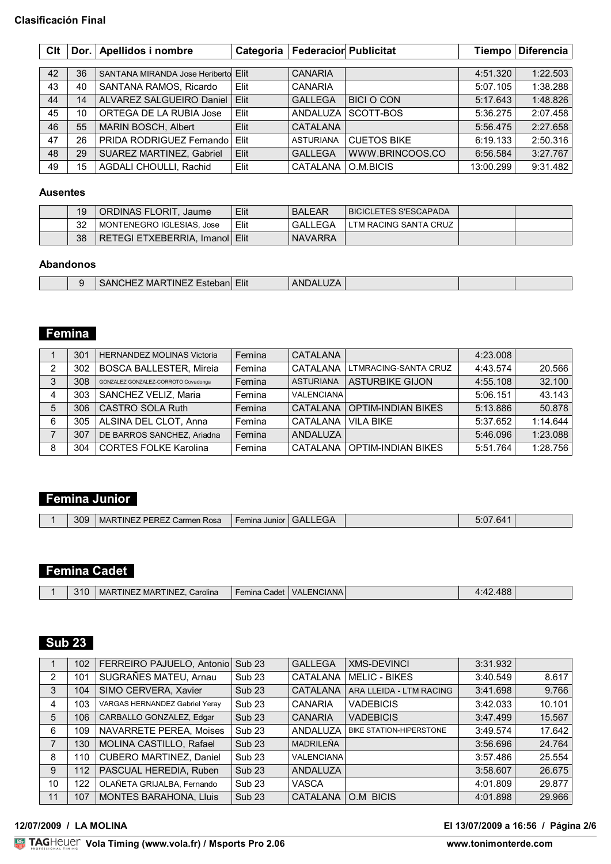### **Clasificación Final**

| Clt | Dor. I | Apellidos i nombre                   | Categoria | <b>Federacior Publicitat</b> |                    | Tiempo    | <b>Diferencia</b> |
|-----|--------|--------------------------------------|-----------|------------------------------|--------------------|-----------|-------------------|
|     |        |                                      |           |                              |                    |           |                   |
| 42  | 36     | SANTANA MIRANDA Jose Heribertol Elit |           | <b>CANARIA</b>               |                    | 4:51.320  | 1:22.503          |
| 43  | 40     | SANTANA RAMOS, Ricardo               | Elit      | <b>CANARIA</b>               |                    | 5:07.105  | 1:38.288          |
| 44  | 14     | ALVAREZ SALGUEIRO Daniel             | Elit      | <b>GALLEGA</b>               | <b>BICI O CON</b>  | 5:17.643  | 1:48.826          |
| 45  | 10     | ORTEGA DE LA RUBIA Jose              | Elit      | ANDALUZA                     | SCOTT-BOS          | 5:36.275  | 2:07.458          |
| 46  | 55     | MARIN BOSCH, Albert                  | Elit      | CATALANA                     |                    | 5:56.475  | 2:27.658          |
| 47  | 26     | PRIDA RODRIGUEZ Fernando             | Elit      | <b>ASTURIANA</b>             | <b>CUETOS BIKE</b> | 6:19.133  | 2:50.316          |
| 48  | 29     | SUAREZ MARTINEZ, Gabriel             | Elit      | <b>GALLEGA</b>               | WWW.BRINCOOS.CO    | 6:56.584  | 3:27.767          |
| 49  | 15     | AGDALI CHOULLI, Rachid               | Elit      | <b>CATALANA</b>              | O.M.BICIS          | 13:00.299 | 9:31.482          |

### **Ausentes**

| 19 | ORDINAS FLORIT, Jaume          | Elit | <b>BALEAR</b>  | BICICLETES S'ESCAPADA |  |
|----|--------------------------------|------|----------------|-----------------------|--|
| 32 | MONTENEGRO IGLESIAS, Jose      | Elit | <b>GALLEGA</b> | LTM RACING SANTA CRUZ |  |
| 38 | RETEGI ETXEBERRIA, Imanol Elit |      | <b>NAVARRA</b> |                       |  |

## **Abandonos**

|  | -INF<br>MAR<br>- 1 M O<br>SIE.<br>70au | Elit | J. |  |  |
|--|----------------------------------------|------|----|--|--|
|  |                                        |      |    |  |  |

## **Femina**

|   | 301 | <b>HERNANDEZ MOLINAS Victoria</b>   | Femina | CATALANA          |                           | 4:23.008 |          |
|---|-----|-------------------------------------|--------|-------------------|---------------------------|----------|----------|
| 2 | 302 | <b>BOSCA BALLESTER, Mireia</b>      | Femina | CATALANA          | LTMRACING-SANTA CRUZ      | 4:43.574 | 20.566   |
|   | 308 | GONZALEZ GONZALEZ-CORROTO Covadonga | Femina | <b>ASTURIANA</b>  | <b>ASTURBIKE GIJON</b>    | 4:55.108 | 32.100   |
| 4 | 303 | SANCHEZ VELIZ, Maria                | Femina | <b>VALENCIANA</b> |                           | 5:06.151 | 43.143   |
|   | 306 | <b>CASTRO SOLA Ruth</b>             | Femina | CATALANA          | <b>OPTIM-INDIAN BIKES</b> | 5:13.886 | 50.878   |
| 6 | 305 | ALSINA DEL CLOT, Anna               | Femina | CATALANA          | VII A BIKF                | 5:37.652 | 1:14.644 |
|   | 307 | DE BARROS SANCHEZ, Ariadna          | Femina | ANDALUZA          |                           | 5:46.096 | 1:23.088 |
| 8 | 304 | <b>CORTES FOLKE Karolina</b>        | Femina | CATAI ANA I       | <b>OPTIM-INDIAN BIKES</b> | 5:51.764 | 1:28.756 |

## **Femina Junior**

|  | 309 | MARTINEZ PEREZ Carmen Rosa | . Femina Junior ' | <b>GALLEGA</b> |  | 5.07641 |  |
|--|-----|----------------------------|-------------------|----------------|--|---------|--|
|--|-----|----------------------------|-------------------|----------------|--|---------|--|

## **Femina Cadet**

## **Sub 23**

|                | 102 | FERREIRO PAJUELO, Antonio      | Sub <sub>23</sub> | <b>GALLEGA</b>    | <b>XMS-DEVINCI</b>             | 3:31.932 |        |
|----------------|-----|--------------------------------|-------------------|-------------------|--------------------------------|----------|--------|
| $\overline{2}$ | 101 | SUGRAÑES MATEU, Arnau          | Sub <sub>23</sub> | CATALANA          | <b>MELIC - BIKES</b>           | 3:40.549 | 8.617  |
| 3              | 104 | SIMO CERVERA, Xavier           | Sub <sub>23</sub> | CATALANA          | ARA LLEIDA - LTM RACING        | 3:41.698 | 9.766  |
| 4              | 103 | VARGAS HERNANDEZ Gabriel Yeray | Sub <sub>23</sub> | <b>CANARIA</b>    | <b>VADEBICIS</b>               | 3:42.033 | 10.101 |
| 5              | 106 | CARBALLO GONZALEZ, Edgar       | Sub <sub>23</sub> | <b>CANARIA</b>    | <b>VADEBICIS</b>               | 3:47.499 | 15.567 |
| 6              | 109 | NAVARRETE PEREA, Moises        | Sub <sub>23</sub> | ANDALUZA          | <b>BIKE STATION-HIPERSTONE</b> | 3:49.574 | 17.642 |
| 7              | 130 | MOLINA CASTILLO, Rafael        | <b>Sub 23</b>     | MADRILEÑA         |                                | 3:56.696 | 24.764 |
| 8              | 110 | CUBERO MARTINEZ, Daniel        | Sub <sub>23</sub> | <b>VALENCIANA</b> |                                | 3:57.486 | 25.554 |
| 9              | 112 | PASCUAL HEREDIA, Ruben         | Sub <sub>23</sub> | ANDALUZA          |                                | 3:58.607 | 26.675 |
| 10             | 122 | OLAÑETA GRIJALBA, Fernando     | Sub <sub>23</sub> | <b>VASCA</b>      |                                | 4:01.809 | 29.877 |
| 11             | 107 | <b>MONTES BARAHONA, Lluis</b>  | Sub <sub>23</sub> | <b>CATALANA</b>   | O.M BICIS                      | 4:01.898 | 29.966 |

### **12/07/2009 / LA MOLINA El 13/07/2009 a 16:56 / Página 2/6**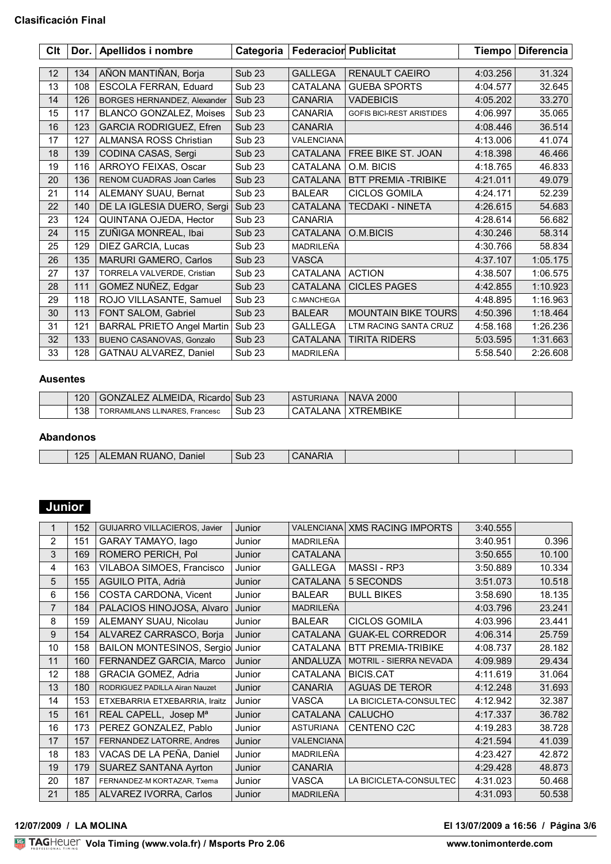| Clt | Dor. $ $ | Apellidos i nombre                | Categoria         | <b>Federacior Publicitat</b> |                                  | <b>Tiempo</b> | <b>Diferencia</b> |
|-----|----------|-----------------------------------|-------------------|------------------------------|----------------------------------|---------------|-------------------|
|     |          |                                   |                   |                              |                                  |               |                   |
| 12  | 134      | AÑON MANTIÑAN, Borja              | <b>Sub 23</b>     | <b>GALLEGA</b>               | <b>RENAULT CAEIRO</b>            | 4:03.256      | 31.324            |
| 13  | 108      | ESCOLA FERRAN, Eduard             | Sub <sub>23</sub> | CATALANA                     | <b>GUEBA SPORTS</b>              | 4:04.577      | 32.645            |
| 14  | 126      | BORGES HERNANDEZ, Alexander       | <b>Sub 23</b>     | <b>CANARIA</b>               | <b>VADEBICIS</b>                 | 4:05.202      | 33.270            |
| 15  | 117      | <b>BLANCO GONZALEZ, Moises</b>    | Sub <sub>23</sub> | <b>CANARIA</b>               | <b>GOFIS BICI-REST ARISTIDES</b> | 4:06.997      | 35.065            |
| 16  | 123      | <b>GARCIA RODRIGUEZ, Efren</b>    | <b>Sub 23</b>     | <b>CANARIA</b>               |                                  | 4:08.446      | 36.514            |
| 17  | 127      | <b>ALMANSA ROSS Christian</b>     | Sub <sub>23</sub> | <b>VALENCIANA</b>            |                                  | 4:13.006      | 41.074            |
| 18  | 139      | CODINA CASAS, Sergi               | <b>Sub 23</b>     | CATALANA                     | FREE BIKE ST. JOAN               | 4:18.398      | 46.466            |
| 19  | 116      | ARROYO FEIXAS, Oscar              | Sub <sub>23</sub> | CATALANA                     | O.M. BICIS                       | 4:18.765      | 46.833            |
| 20  | 136      | <b>RENOM CUADRAS Joan Carles</b>  | <b>Sub 23</b>     | <b>CATALANA</b>              | <b>BTT PREMIA -TRIBIKE</b>       | 4:21.011      | 49.079            |
| 21  | 114      | ALEMANY SUAU, Bernat              | <b>Sub 23</b>     | <b>BALEAR</b>                | <b>CICLOS GOMILA</b>             | 4:24.171      | 52.239            |
| 22  | 140      | DE LA IGLESIA DUERO, Sergi        | <b>Sub 23</b>     | CATALANA                     | TECDAKI - NINETA                 | 4:26.615      | 54.683            |
| 23  | 124      | QUINTANA OJEDA, Hector            | Sub <sub>23</sub> | <b>CANARIA</b>               |                                  | 4:28.614      | 56.682            |
| 24  | 115      | ZUÑIGA MONREAL, Ibai              | <b>Sub 23</b>     | CATALANA                     | O.M.BICIS                        | 4:30.246      | 58.314            |
| 25  | 129      | DIEZ GARCIA, Lucas                | Sub <sub>23</sub> | MADRILEÑA                    |                                  | 4:30.766      | 58.834            |
| 26  | 135      | <b>MARURI GAMERO, Carlos</b>      | <b>Sub 23</b>     | <b>VASCA</b>                 |                                  | 4:37.107      | 1:05.175          |
| 27  | 137      | TORRELA VALVERDE, Cristian        | Sub <sub>23</sub> | CATALANA                     | <b>ACTION</b>                    | 4:38.507      | 1:06.575          |
| 28  | 111      | GOMEZ NUÑEZ, Edgar                | <b>Sub 23</b>     | CATALANA                     | <b>CICLES PAGES</b>              | 4:42.855      | 1:10.923          |
| 29  | 118      | ROJO VILLASANTE, Samuel           | Sub <sub>23</sub> | C.MANCHEGA                   |                                  | 4:48.895      | 1:16.963          |
| 30  | 113      | FONT SALOM, Gabriel               | <b>Sub 23</b>     | <b>BALEAR</b>                | <b>MOUNTAIN BIKE TOURS</b>       | 4:50.396      | 1:18.464          |
| 31  | 121      | <b>BARRAL PRIETO Angel Martin</b> | Sub <sub>23</sub> | <b>GALLEGA</b>               | LTM RACING SANTA CRUZ            | 4:58.168      | 1:26.236          |
| 32  | 133      | BUENO CASANOVAS, Gonzalo          | <b>Sub 23</b>     | <b>CATALANA</b>              | <b>TIRITA RIDERS</b>             | 5:03.595      | 1:31.663          |
| 33  | 128      | GATNAU ALVAREZ, Daniel            | Sub <sub>23</sub> | MADRILEÑA                    |                                  | 5:58.540      | 2:26.608          |

## **Ausentes**

| 120 | GONZALEZ ALMEIDA. Ricardol Sub 23     |                   | <b>ASTURIANA</b> | <b>NAVA 2000</b> |  |
|-----|---------------------------------------|-------------------|------------------|------------------|--|
| 138 | <b>FORRAMILANS LLINARES, Francesc</b> | Sub <sub>23</sub> | _ANA_<br>CATAL   | TREMBIKE         |  |

## **Abandonos**

| 25 | 'JANC<br>ΔI<br>⊧MAN :<br>Daniel<br>--<br>$\sim$ | $\sim$<br>Sub 23 | л.<br>$\mathbf{u}$ |  |  |
|----|-------------------------------------------------|------------------|--------------------|--|--|

# **Junior**

| 1              | 152 | GUIJARRO VILLACIEROS, Javier     | Junior |                   | <b>VALENCIANA XMS RACING IMPORTS</b> | 3:40.555 |        |
|----------------|-----|----------------------------------|--------|-------------------|--------------------------------------|----------|--------|
| $\overline{2}$ | 151 | <b>GARAY TAMAYO, lago</b>        | Junior | <b>MADRILEÑA</b>  |                                      | 3:40.951 | 0.396  |
| 3              | 169 | ROMERO PERICH, Pol               | Junior | <b>CATALANA</b>   |                                      | 3:50.655 | 10.100 |
| 4              | 163 | VILABOA SIMOES, Francisco        | Junior | <b>GALLEGA</b>    | MASSI - RP3                          | 3:50.889 | 10.334 |
| 5              | 155 | AGUILO PITA, Adrià               | Junior | <b>CATALANA</b>   | 5 SECONDS                            | 3:51.073 | 10.518 |
| 6              | 156 | COSTA CARDONA, Vicent            | Junior | <b>BALEAR</b>     | <b>BULL BIKES</b>                    | 3:58.690 | 18.135 |
| $\overline{7}$ | 184 | PALACIOS HINOJOSA, Alvaro        | Junior | <b>MADRILEÑA</b>  |                                      | 4:03.796 | 23.241 |
| 8              | 159 | ALEMANY SUAU, Nicolau            | Junior | <b>BALEAR</b>     | <b>CICLOS GOMILA</b>                 | 4:03.996 | 23.441 |
| 9              | 154 | ALVAREZ CARRASCO, Borja          | Junior | <b>CATALANA</b>   | <b>GUAK-EL CORREDOR</b>              | 4:06.314 | 25.759 |
| 10             | 158 | <b>BAILON MONTESINOS, Sergio</b> | Junior | CATALANA          | <b>BTT PREMIA-TRIBIKE</b>            | 4:08.737 | 28.182 |
| 11             | 160 | FERNANDEZ GARCIA, Marco          | Junior | <b>ANDALUZA</b>   | <b>MOTRIL - SIERRA NEVADA</b>        | 4:09.989 | 29.434 |
| 12             | 188 | <b>GRACIA GOMEZ, Adria</b>       | Junior | CATALANA          | <b>BICIS.CAT</b>                     | 4:11.619 | 31.064 |
| 13             | 180 | RODRIGUEZ PADILLA Airan Nauzet   | Junior | <b>CANARIA</b>    | <b>AGUAS DE TEROR</b>                | 4:12.248 | 31.693 |
| 14             | 153 | ETXEBARRIA ETXEBARRIA, Iraitz    | Junior | <b>VASCA</b>      | LA BICICLETA-CONSULTEC               | 4:12.942 | 32.387 |
| 15             | 161 | REAL CAPELL, Josep Ma            | Junior | <b>CATALANA</b>   | <b>CALUCHO</b>                       | 4:17.337 | 36.782 |
| 16             | 173 | PEREZ GONZALEZ, Pablo            | Junior | <b>ASTURIANA</b>  | <b>CENTENO C2C</b>                   | 4:19.283 | 38.728 |
| 17             | 157 | FERNANDEZ LATORRE, Andres        | Junior | <b>VALENCIANA</b> |                                      | 4:21.594 | 41.039 |
| 18             | 183 | VACAS DE LA PEÑA, Daniel         | Junior | MADRILEÑA         |                                      | 4:23.427 | 42.872 |
| 19             | 179 | <b>SUAREZ SANTANA Ayrton</b>     | Junior | <b>CANARIA</b>    |                                      | 4:29.428 | 48.873 |
| 20             | 187 | FERNANDEZ-M KORTAZAR, Txema      | Junior | <b>VASCA</b>      | LA BICICLETA-CONSULTEC               | 4:31.023 | 50.468 |
| 21             | 185 | ALVAREZ IVORRA, Carlos           | Junior | MADRILEÑA         |                                      | 4:31.093 | 50.538 |

### <u>Volanda Volanda est</u> **12/07/2009 / LA MOLINA El 13/07/2009 a 16:56 / Página 3/6**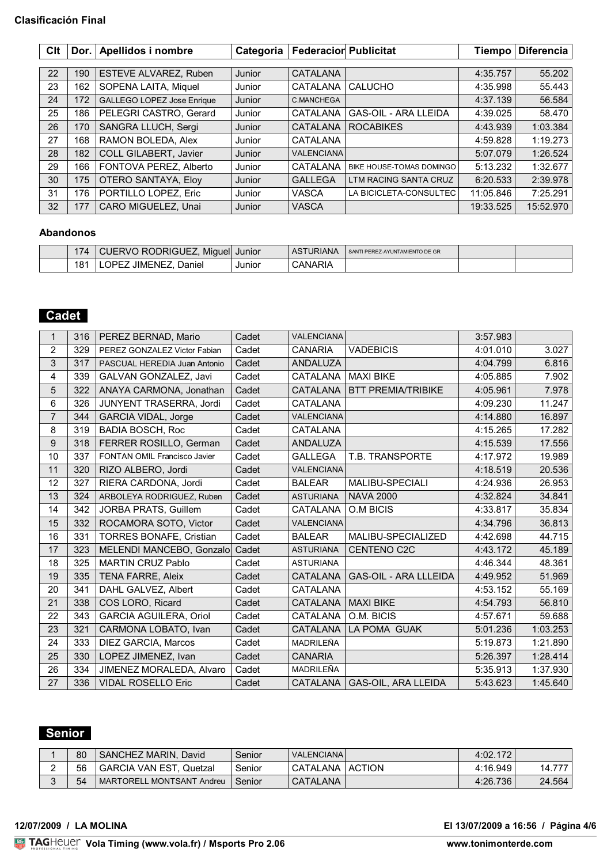### **Clasificación Final**

| Clt |     | Dor.   Apellidos i nombre  | Categoria | <b>Federacior Publicitat</b> |                             | <b>Tiempo</b> | <b>Diferencia</b> |
|-----|-----|----------------------------|-----------|------------------------------|-----------------------------|---------------|-------------------|
|     |     |                            |           |                              |                             |               |                   |
| 22  | 190 | ESTEVE ALVAREZ, Ruben      | Junior    | CATALANA                     |                             | 4:35.757      | 55.202            |
| 23  | 162 | SOPENA LAITA, Miquel       | Junior    | CATALANA                     | <b>CALUCHO</b>              | 4:35.998      | 55.443            |
| 24  | 172 | GALLEGO LOPEZ Jose Enrique | Junior    | C.MANCHEGA                   |                             | 4:37.139      | 56.584            |
| 25  | 186 | PELEGRI CASTRO, Gerard     | Junior    | CATALANA                     | <b>GAS-OIL - ARA LLEIDA</b> | 4:39.025      | 58.470            |
| 26  | 170 | SANGRA LLUCH, Sergi        | Junior    | <b>CATALANA</b>              | <b>ROCABIKES</b>            | 4:43.939      | 1:03.384          |
| 27  | 168 | RAMON BOLEDA, Alex         | Junior    | <b>CATALANA</b>              |                             | 4:59.828      | 1:19.273          |
| 28  | 182 | COLL GILABERT, Javier      | Junior    | <b>VALENCIANA</b>            |                             | 5:07.079      | 1:26.524          |
| 29  | 166 | FONTOVA PEREZ, Alberto     | Junior    | CATALANA                     | BIKE HOUSE-TOMAS DOMINGO    | 5:13.232      | 1:32.677          |
| 30  | 175 | <b>OTERO SANTAYA, Eloy</b> | Junior    | <b>GALLEGA</b>               | LTM RACING SANTA CRUZ       | 6:20.533      | 2:39.978          |
| 31  | 176 | PORTILLO LOPEZ, Eric       | Junior    | <b>VASCA</b>                 | LA BICICLETA-CONSULTEC      | 11:05.846     | 7:25.291          |
| 32  | 177 | CARO MIGUELEZ, Unai        | Junior    | <b>VASCA</b>                 |                             | 19:33.525     | 15:52.970         |

### **Abandonos**

| $\sqrt{4}$      | Miguel <sup>1</sup><br>RODRIGUEZ.<br>O RC<br>JUERV⊡ | Junior | ASTURIANA | SANTI PEREZ-AYUNTAMIENTO DE GR |  |
|-----------------|-----------------------------------------------------|--------|-----------|--------------------------------|--|
| 18 <sup>′</sup> | Daniel<br>JIMENE.<br>ושנ                            | Junior | CANARIA   |                                |  |

## **Cadet**

| $\mathbf{1}$   | 316 | PEREZ BERNAD, Mario            | Cadet | <b>VALENCIANA</b> |                              | 3:57.983 |          |
|----------------|-----|--------------------------------|-------|-------------------|------------------------------|----------|----------|
| $\overline{2}$ | 329 | PEREZ GONZALEZ Victor Fabian   | Cadet | <b>CANARIA</b>    | <b>VADEBICIS</b>             | 4:01.010 | 3.027    |
| 3              | 317 | PASCUAL HEREDIA Juan Antonio   | Cadet | <b>ANDALUZA</b>   |                              | 4:04.799 | 6.816    |
| 4              | 339 | GALVAN GONZALEZ, Javi          | Cadet | <b>CATALANA</b>   | <b>MAXI BIKE</b>             | 4:05.885 | 7.902    |
| 5              | 322 | ANAYA CARMONA, Jonathan        | Cadet | CATALANA          | <b>BTT PREMIA/TRIBIKE</b>    | 4:05.961 | 7.978    |
| 6              | 326 | JUNYENT TRASERRA, Jordi        | Cadet | <b>CATALANA</b>   |                              | 4:09.230 | 11.247   |
| $\overline{7}$ | 344 | <b>GARCIA VIDAL, Jorge</b>     | Cadet | <b>VALENCIANA</b> |                              | 4:14.880 | 16.897   |
| 8              | 319 | <b>BADIA BOSCH, Roc</b>        | Cadet | CATALANA          |                              | 4:15.265 | 17.282   |
| 9              | 318 | FERRER ROSILLO, German         | Cadet | <b>ANDALUZA</b>   |                              | 4:15.539 | 17.556   |
| 10             | 337 | FONTAN OMIL Francisco Javier   | Cadet | <b>GALLEGA</b>    | T.B. TRANSPORTE              | 4:17.972 | 19.989   |
| 11             | 320 | RIZO ALBERO, Jordi             | Cadet | <b>VALENCIANA</b> |                              | 4:18.519 | 20.536   |
| 12             | 327 | RIERA CARDONA, Jordi           | Cadet | <b>BALEAR</b>     | <b>MALIBU-SPECIALI</b>       | 4:24.936 | 26.953   |
| 13             | 324 | ARBOLEYA RODRIGUEZ, Ruben      | Cadet | <b>ASTURIANA</b>  | <b>NAVA 2000</b>             | 4:32.824 | 34.841   |
| 14             | 342 | JORBA PRATS, Guillem           | Cadet | CATALANA          | O.M BICIS                    | 4:33.817 | 35.834   |
| 15             | 332 | ROCAMORA SOTO, Victor          | Cadet | <b>VALENCIANA</b> |                              | 4:34.796 | 36.813   |
| 16             | 331 | <b>TORRES BONAFE, Cristian</b> | Cadet | <b>BALEAR</b>     | MALIBU-SPECIALIZED           | 4:42.698 | 44.715   |
| 17             | 323 | MELENDI MANCEBO, Gonzalo       | Cadet | <b>ASTURIANA</b>  | <b>CENTENO C2C</b>           | 4:43.172 | 45.189   |
| 18             | 325 | <b>MARTIN CRUZ Pablo</b>       | Cadet | <b>ASTURIANA</b>  |                              | 4:46.344 | 48.361   |
| 19             | 335 | <b>TENA FARRE, Aleix</b>       | Cadet | <b>CATALANA</b>   | <b>GAS-OIL - ARA LLLEIDA</b> | 4:49.952 | 51.969   |
| 20             | 341 | DAHL GALVEZ, Albert            | Cadet | <b>CATALANA</b>   |                              | 4:53.152 | 55.169   |
| 21             | 338 | COS LORO, Ricard               | Cadet | CATALANA          | <b>MAXI BIKE</b>             | 4:54.793 | 56.810   |
| 22             | 343 | <b>GARCIA AGUILERA, Oriol</b>  | Cadet | CATALANA          | O.M. BICIS                   | 4:57.671 | 59.688   |
| 23             | 321 | CARMONA LOBATO, Ivan           | Cadet | <b>CATALANA</b>   | LA POMA GUAK                 | 5:01.236 | 1:03.253 |
| 24             | 333 | DIEZ GARCIA, Marcos            | Cadet | MADRILEÑA         |                              | 5:19.873 | 1:21.890 |
| 25             | 330 | LOPEZ JIMENEZ, Ivan            | Cadet | <b>CANARIA</b>    |                              | 5:26.397 | 1:28.414 |
| 26             | 334 | JIMENEZ MORALEDA, Alvaro       | Cadet | MADRILEÑA         |                              | 5:35.913 | 1:37.930 |
| 27             | 336 | <b>VIDAL ROSELLO Eric</b>      | Cadet | <b>CATALANA</b>   | GAS-OIL, ARA LLEIDA          | 5:43.623 | 1:45.640 |

## **Senior**

| 80 | SANCHEZ MARIN, David           | Senior | <b>VALENCIANA</b> |        | 4:02.172 |        |
|----|--------------------------------|--------|-------------------|--------|----------|--------|
| 56 | <b>GARCIA VAN EST, Quetzal</b> | Senior | <b>CATALANA</b>   | ACTION | 4:16.949 | 14.777 |
| 54 | MARTORELL MONTSANT Andreu      | Senior | <b>CATALANA</b>   |        | 4:26.736 | 24.564 |

**12/07/2009 / LA MOLINA El 13/07/2009 a 16:56 / Página 4/6**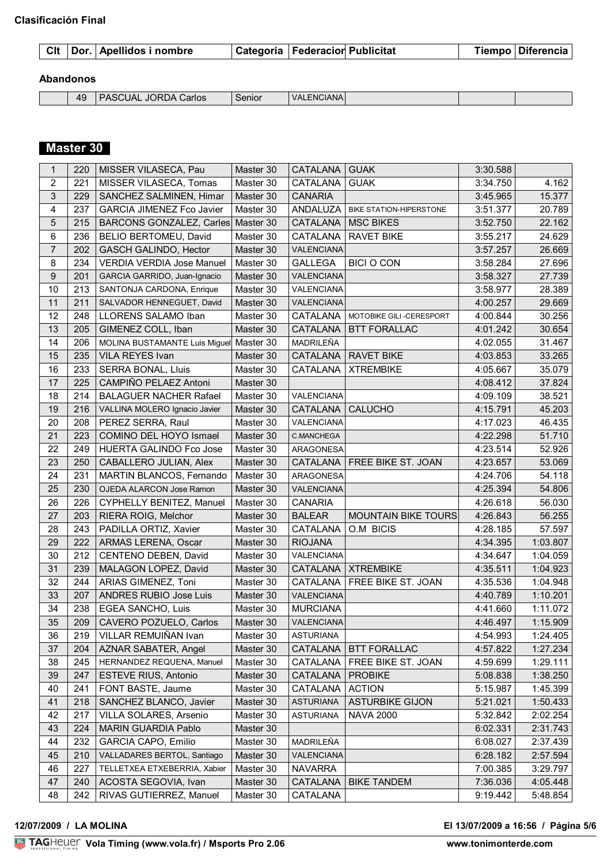|  |  |  | Cit Dor. Apellidos i nombre |  | Categoria   Federacior Publicitat |  |  | Tiempo ∣ Diferencia ⊦ |
|--|--|--|-----------------------------|--|-----------------------------------|--|--|-----------------------|
|--|--|--|-----------------------------|--|-----------------------------------|--|--|-----------------------|

## **Abandonos**

| 40<br>т. | Carlos | $\sim$<br>ienior | -NC<br><b>VAI</b><br>JIANA |  |  |
|----------|--------|------------------|----------------------------|--|--|
|          |        |                  |                            |  |  |

# **Master 30**

| 1                       | 220 | MISSER VILASECA, Pau             | Master 30 | CATALANA          | <b>GUAK</b>                    | 3:30.588 |          |
|-------------------------|-----|----------------------------------|-----------|-------------------|--------------------------------|----------|----------|
| $\overline{c}$          | 221 | MISSER VILASECA, Tomas           | Master 30 | CATALANA          | <b>GUAK</b>                    | 3:34.750 | 4.162    |
| $\sqrt{3}$              | 229 | SANCHEZ SALMINEN, Himar          | Master 30 | <b>CANARIA</b>    |                                | 3:45.965 | 15.377   |
| $\overline{\mathbf{4}}$ | 237 | <b>GARCIA JIMENEZ Fco Javier</b> | Master 30 | ANDALUZA          | <b>BIKE STATION-HIPERSTONE</b> | 3:51.377 | 20.789   |
| 5                       | 215 | <b>BARCONS GONZALEZ, Carles</b>  | Master 30 | CATALANA          | <b>MSC BIKES</b>               | 3:52.750 | 22.162   |
| 6                       | 236 | BELIO BERTOMEU, David            | Master 30 | CATALANA          | <b>RAVET BIKE</b>              | 3:55.217 | 24.629   |
| $\overline{7}$          | 202 | GASCH GALINDO, Hector            | Master 30 | VALENCIANA        |                                | 3:57.257 | 26.669   |
| 8                       | 234 | <b>VERDIA VERDIA Jose Manuel</b> | Master 30 | <b>GALLEGA</b>    | <b>BICI O CON</b>              | 3:58.284 | 27.696   |
| 9                       | 201 | GARCIA GARRIDO, Juan-Ignacio     | Master 30 | VALENCIANA        |                                | 3:58.327 | 27.739   |
| 10                      | 213 | SANTONJA CARDONA, Enrique        | Master 30 | VALENCIANA        |                                | 3:58.977 | 28.389   |
| 11                      | 211 | SALVADOR HENNEGUET, David        | Master 30 | VALENCIANA        |                                | 4:00.257 | 29.669   |
| 12                      | 248 | LLORENS SALAMO Iban              | Master 30 | CATALANA          | MOTOBIKE GILI-CERESPORT        | 4:00.844 | 30.256   |
| 13                      | 205 | GIMENEZ COLL, Iban               | Master 30 | CATALANA          | <b>BTT FORALLAC</b>            | 4:01.242 | 30.654   |
| 14                      | 206 | MOLINA BUSTAMANTE Luis Miguel    | Master 30 | MADRILEÑA         |                                | 4:02.055 | 31.467   |
| 15                      | 235 | VILA REYES Ivan                  | Master 30 | CATALANA          | <b>RAVET BIKE</b>              | 4:03.853 | 33.265   |
| 16                      | 233 | SERRA BONAL, Lluis               | Master 30 | CATALANA          | <b>XTREMBIKE</b>               | 4:05.667 | 35.079   |
| 17                      | 225 | CAMPIÑO PELAEZ Antoni            | Master 30 |                   |                                | 4:08.412 | 37.824   |
| 18                      | 214 | <b>BALAGUER NACHER Rafael</b>    | Master 30 | VALENCIANA        |                                | 4:09.109 | 38.521   |
| 19                      | 216 | VALLINA MOLERO Ignacio Javier    | Master 30 | CATALANA          | <b>CALUCHO</b>                 | 4:15.791 | 45.203   |
| 20                      | 208 | PEREZ SERRA, Raul                | Master 30 | VALENCIANA        |                                | 4:17.023 | 46.435   |
| 21                      | 223 | COMINO DEL HOYO Ismael           | Master 30 | <b>C.MANCHEGA</b> |                                | 4:22.298 | 51.710   |
| 22                      | 249 | HUERTA GALINDO Fco Jose          | Master 30 | ARAGONESA         |                                | 4:23.514 | 52.926   |
| 23                      | 250 | CABALLERO JULIAN, Alex           | Master 30 | CATALANA          | FREE BIKE ST. JOAN             | 4:23.657 | 53.069   |
| 24                      | 231 | MARTIN BLANCOS, Fernando         | Master 30 | ARAGONESA         |                                | 4:24.706 | 54.118   |
| 25                      | 230 | OJEDA ALARCON Jose Ramon         | Master 30 | VALENCIANA        |                                | 4:25.394 | 54.806   |
| 26                      | 226 | CYPHELLY BENITEZ, Manuel         | Master 30 | <b>CANARIA</b>    |                                | 4:26.618 | 56.030   |
| 27                      | 203 | RIERA ROIG, Melchor              | Master 30 | <b>BALEAR</b>     | <b>MOUNTAIN BIKE TOURS</b>     | 4:26.843 | 56.255   |
| 28                      | 243 | PADILLA ORTIZ, Xavier            | Master 30 | CATALANA          | O.M BICIS                      | 4:28.185 | 57.597   |
| 29                      | 222 | ARMAS LERENA, Oscar              | Master 30 | <b>RIOJANA</b>    |                                | 4:34.395 | 1:03.807 |
| 30                      | 212 | CENTENO DEBEN, David             | Master 30 | VALENCIANA        |                                | 4:34.647 | 1:04.059 |
| 31                      | 239 | MALAGON LOPEZ, David             | Master 30 | <b>CATALANA</b>   | <b>XTREMBIKE</b>               | 4:35.511 | 1:04.923 |
| 32                      | 244 | ARIAS GIMENEZ, Toni              | Master 30 | CATALANA          | FREE BIKE ST. JOAN             | 4:35.536 | 1:04.948 |
| 33                      | 207 | <b>ANDRES RUBIO Jose Luis</b>    | Master 30 | VALENCIANA        |                                | 4:40.789 | 1:10.201 |
| 34                      | 238 | EGEA SANCHO, Luis                | Master 30 | <b>MURCIANA</b>   |                                | 4:41.660 | 1:11.072 |
| 35                      | 209 | CAVERO POZUELO, Carlos           | Master 30 | VALENCIANA        |                                | 4:46.497 | 1:15.909 |
| 36                      | 219 | VILLAR REMUIÑAN Ivan             | Master 30 | <b>ASTURIANA</b>  |                                | 4:54.993 | 1:24.405 |
| 37                      | 204 | AZNAR SABATER, Angel             | Master 30 | CATALANA          | <b>BTT FORALLAC</b>            | 4:57.822 | 1:27.234 |
| 38                      | 245 | HERNANDEZ REQUENA, Manuel        | Master 30 | CATALANA          | FREE BIKE ST. JOAN             | 4:59.699 | 1:29.111 |
| 39                      | 247 | <b>ESTEVE RIUS, Antonio</b>      | Master 30 | CATALANA          | <b>PROBIKE</b>                 | 5:08.838 | 1:38.250 |
| 40                      | 241 | FONT BASTE, Jaume                | Master 30 | CATALANA          | <b>ACTION</b>                  | 5:15.987 | 1:45.399 |
| 41                      | 218 | SANCHEZ BLANCO, Javier           | Master 30 | <b>ASTURIANA</b>  | <b>ASTURBIKE GIJON</b>         | 5:21.021 | 1:50.433 |
| 42                      | 217 | VILLA SOLARES, Arsenio           | Master 30 | <b>ASTURIANA</b>  | <b>NAVA 2000</b>               | 5:32.842 | 2:02.254 |
| 43                      | 224 | MARIN GUARDIA Pablo              | Master 30 |                   |                                | 6:02.331 | 2:31.743 |
| 44                      | 232 | <b>GARCIA CAPO, Emilio</b>       | Master 30 | MADRILEÑA         |                                | 6:08.027 | 2:37.439 |
| 45                      | 210 | VALLADARES BERTOL, Santiago      | Master 30 | VALENCIANA        |                                | 6:28.182 | 2:57.594 |
| 46                      | 227 | TELLETXEA ETXEBERRIA, Xabier     | Master 30 | <b>NAVARRA</b>    |                                | 7:00.385 | 3:29.797 |
| 47                      | 240 | ACOSTA SEGOVIA, Ivan             | Master 30 | CATALANA          | <b>BIKE TANDEM</b>             | 7:36.036 | 4:05.448 |
| 48                      | 242 | RIVAS GUTIERREZ, Manuel          | Master 30 | CATALANA          |                                | 9:19.442 | 5:48.854 |

### <u>Volanda Volanda est</u> **12/07/2009 / LA MOLINA El 13/07/2009 a 16:56 / Página 5/6**